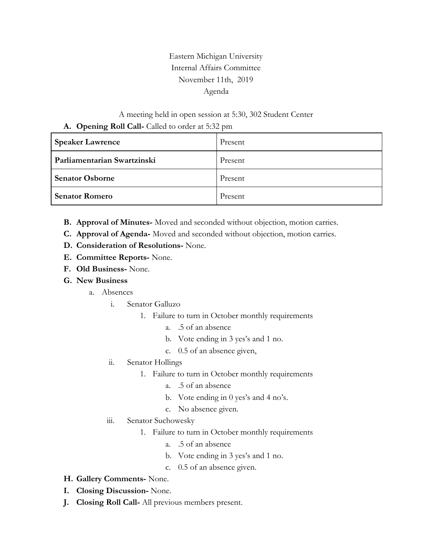## Eastern Michigan University Internal Affairs Committee November 11th, 2019 Agenda

## A meeting held in open session at 5:30, 302 Student Center **A. Opening Roll Call-** Called to order at 5:32 pm

| <b>Speaker Lawrence</b>     | Present |
|-----------------------------|---------|
| Parliamentarian Swartzinski | Present |
| <b>Senator Osborne</b>      | Present |
| <b>Senator Romero</b>       | Present |

- **B. Approval of Minutes-** Moved and seconded without objection, motion carries.
- **C. Approval of Agenda-** Moved and seconded without objection, motion carries.
- **D. Consideration of Resolutions-** None.
- **E. Committee Reports-** None.
- **F. Old Business-** None.
- **G. New Business**
	- a. Absences
		- i. Senator Galluzo
			- 1. Failure to turn in October monthly requirements
				- a. .5 of an absence
				- b. Vote ending in 3 yes's and 1 no.
				- c. 0.5 of an absence given,
		- ii. Senator Hollings
			- 1. Failure to turn in October monthly requirements
				- a. .5 of an absence
				- b. Vote ending in 0 yes's and 4 no's.
				- c. No absence given.
		- iii. Senator Suchowesky
			- 1. Failure to turn in October monthly requirements
				- a. .5 of an absence
				- b. Vote ending in 3 yes's and 1 no.
				- c. 0.5 of an absence given.
- **H. Gallery Comments-** None.
- **I. Closing Discussion-** None.
- **J. Closing Roll Call-** All previous members present.